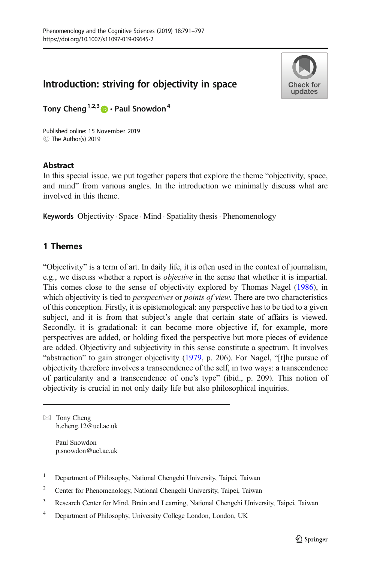# Introduction: striving for objectivity in space



Tony Cheng<sup>1,2,3</sup>  $\bullet$  Paul Snowdon<sup>4</sup>

C The Author(s) 2019 Published online: 15 November 2019

## **Abstract**

In this special issue, we put together papers that explore the theme "objectivity, space, and mind" from various angles. In the introduction we minimally discuss what are involved in this theme.

Keywords Objectivity  $\cdot$  Space  $\cdot$  Mind  $\cdot$  Spatiality thesis  $\cdot$  Phenomenology

# 1 Themes

"Objectivity" is a term of art. In daily life, it is often used in the context of journalism, e.g., we discuss whether a report is objective in the sense that whether it is impartial. This comes close to the sense of objectivity explored by Thomas Nagel ([1986](#page-6-0)), in which objectivity is tied to *perspectives* or *points of view*. There are two characteristics of this conception. Firstly, it is epistemological: any perspective has to be tied to a given subject, and it is from that subject's angle that certain state of affairs is viewed. Secondly, it is gradational: it can become more objective if, for example, more perspectives are added, or holding fixed the perspective but more pieces of evidence are added. Objectivity and subjectivity in this sense constitute a spectrum. It involves "abstraction" to gain stronger objectivity [\(1979,](#page-6-0) p. 206). For Nagel, "[t]he pursue of objectivity therefore involves a transcendence of the self, in two ways: a transcendence of particularity and a transcendence of one's type" (ibid., p. 209). This notion of objectivity is crucial in not only daily life but also philosophical inquiries.

 $\boxtimes$  Tony Cheng [h.cheng.12@ucl.ac.uk](mailto:h.cheng.12@ucl.ac.uk)

> Paul Snowdon p.snowdon@ucl.ac.uk

- <sup>1</sup> Department of Philosophy, National Chengchi University, Taipei, Taiwan
- <sup>2</sup> Center for Phenomenology, National Chengchi University, Taipei, Taiwan
- <sup>3</sup> Research Center for Mind, Brain and Learning, National Chengchi University, Taipei, Taiwan
- <sup>4</sup> Department of Philosophy, University College London, London, UK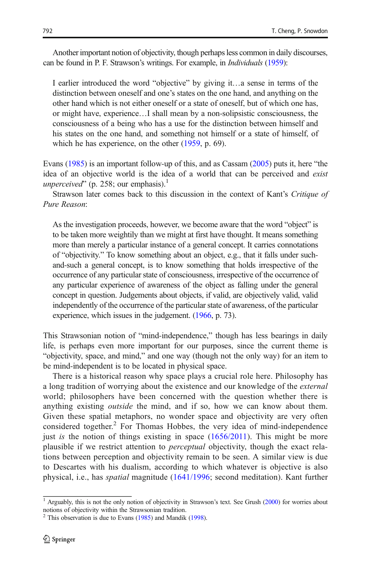Another important notion of objectivity, though perhaps less common in daily discourses, can be found in P. F. Strawson's writings. For example, in Individuals [\(1959\)](#page-6-0):

I earlier introduced the word "objective" by giving it…a sense in terms of the distinction between oneself and one's states on the one hand, and anything on the other hand which is not either oneself or a state of oneself, but of which one has, or might have, experience…I shall mean by a non-solipsistic consciousness, the consciousness of a being who has a use for the distinction between himself and his states on the one hand, and something not himself or a state of himself, of which he has experience, on the other ([1959](#page-6-0), p. 69).

Evans [\(1985\)](#page-5-0) is an important follow-up of this, and as Cassam [\(2005\)](#page-5-0) puts it, here "the idea of an objective world is the idea of a world that can be perceived and exist unperceived" (p. 258; our emphasis).<sup>1</sup>

Strawson later comes back to this discussion in the context of Kant's Critique of Pure Reason:

As the investigation proceeds, however, we become aware that the word "object" is to be taken more weightily than we might at first have thought. It means something more than merely a particular instance of a general concept. It carries connotations of "objectivity." To know something about an object, e.g., that it falls under suchand-such a general concept, is to know something that holds irrespective of the occurrence of any particular state of consciousness, irrespective of the occurrence of any particular experience of awareness of the object as falling under the general concept in question. Judgements about objects, if valid, are objectively valid, valid independently of the occurrence of the particular state of awareness, of the particular experience, which issues in the judgement. [\(1966](#page-6-0), p. 73).

This Strawsonian notion of "mind-independence," though has less bearings in daily life, is perhaps even more important for our purposes, since the current theme is "objectivity, space, and mind," and one way (though not the only way) for an item to be mind-independent is to be located in physical space.

There is a historical reason why space plays a crucial role here. Philosophy has a long tradition of worrying about the existence and our knowledge of the *external* world; philosophers have been concerned with the question whether there is anything existing outside the mind, and if so, how we can know about them. Given these spatial metaphors, no wonder space and objectivity are very often considered together.<sup>2</sup> For Thomas Hobbes, the very idea of mind-independence just is the notion of things existing in space ([1656/2011\)](#page-5-0). This might be more plausible if we restrict attention to *perceptual* objectivity, though the exact relations between perception and objectivity remain to be seen. A similar view is due to Descartes with his dualism, according to which whatever is objective is also physical, i.e., has spatial magnitude [\(1641/1996;](#page-5-0) second meditation). Kant further

 $1$  Arguably, this is not the only notion of objectivity in Strawson's text. See Grush [\(2000\)](#page-5-0) for worries about notions of objectivity within the Strawsonian tradition.

 $2$  This observation is due to Evans [\(1985\)](#page-5-0) and Mandik ([1998](#page-6-0)).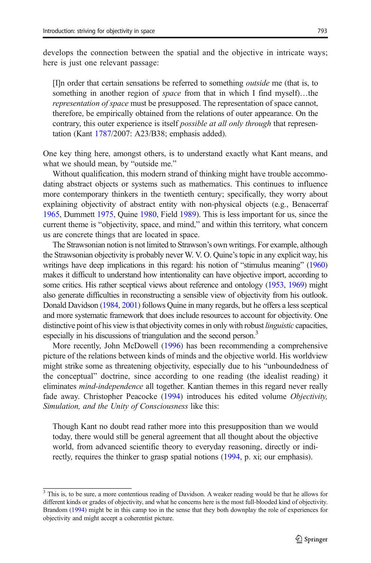develops the connection between the spatial and the objective in intricate ways; here is just one relevant passage:

[I]n order that certain sensations be referred to something outside me (that is, to something in another region of *space* from that in which I find myself)...the representation of space must be presupposed. The representation of space cannot, therefore, be empirically obtained from the relations of outer appearance. On the contrary, this outer experience is itself *possible at all only through* that representation (Kant [1787/](#page-6-0)2007: A23/B38; emphasis added).

One key thing here, amongst others, is to understand exactly what Kant means, and what we should mean, by "outside me."

Without qualification, this modern strand of thinking might have trouble accommodating abstract objects or systems such as mathematics. This continues to influence more contemporary thinkers in the twentieth century; specifically, they worry about explaining objectivity of abstract entity with non-physical objects (e.g., Benacerraf [1965,](#page-5-0) Dummett [1975](#page-5-0), Quine [1980](#page-6-0), Field [1989](#page-5-0)). This is less important for us, since the current theme is "objectivity, space, and mind," and within this territory, what concern us are concrete things that are located in space.

The Strawsonian notion is not limited to Strawson's own writings. For example, although the Strawsonian objectivity is probably never W. V. O. Quine's topic in any explicit way, his writings have deep implications in this regard: his notion of "stimulus meaning" [\(1960](#page-6-0)) makes it difficult to understand how intentionality can have objective import, according to some critics. His rather sceptical views about reference and ontology [\(1953](#page-6-0), [1969](#page-6-0)) might also generate difficulties in reconstructing a sensible view of objectivity from his outlook. Donald Davidson [\(1984](#page-5-0), [2001](#page-5-0)) follows Quine in many regards, but he offers a less sceptical and more systematic framework that does include resources to account for objectivity. One distinctive point of his view is that objectivity comes in only with robust linguistic capacities, especially in his discussions of triangulation and the second person.<sup>3</sup>

More recently, John McDowell [\(1996\)](#page-6-0) has been recommending a comprehensive picture of the relations between kinds of minds and the objective world. His worldview might strike some as threatening objectivity, especially due to his "unboundedness of the conceptual" doctrine, since according to one reading (the idealist reading) it eliminates *mind-independence* all together. Kantian themes in this regard never really fade away. Christopher Peacocke ([1994\)](#page-6-0) introduces his edited volume Objectivity, Simulation, and the Unity of Consciousness like this:

Though Kant no doubt read rather more into this presupposition than we would today, there would still be general agreement that all thought about the objective world, from advanced scientific theory to everyday reasoning, directly or indirectly, requires the thinker to grasp spatial notions ([1994](#page-6-0), p. xi; our emphasis).

<sup>&</sup>lt;sup>3</sup> This is, to be sure, a more contentious reading of Davidson. A weaker reading would be that he allows for different kinds or grades of objectivity, and what he concerns here is the most full-blooded kind of objectivity. Brandom ([1994](#page-5-0)) might be in this camp too in the sense that they both downplay the role of experiences for objectivity and might accept a coherentist picture.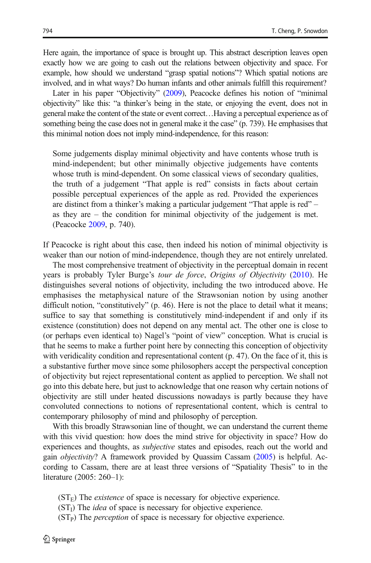Here again, the importance of space is brought up. This abstract description leaves open exactly how we are going to cash out the relations between objectivity and space. For example, how should we understand "grasp spatial notions"? Which spatial notions are involved, and in what ways? Do human infants and other animals fulfill this requirement?

Later in his paper "Objectivity" [\(2009\)](#page-6-0), Peacocke defines his notion of "minimal objectivity" like this: "a thinker's being in the state, or enjoying the event, does not in general make the content of the state or event correct…Having a perceptual experience as of something being the case does not in general make it the case" (p. 739). He emphasises that this minimal notion does not imply mind-independence, for this reason:

Some judgements display minimal objectivity and have contents whose truth is mind-independent; but other minimally objective judgements have contents whose truth is mind-dependent. On some classical views of secondary qualities, the truth of a judgement "That apple is red" consists in facts about certain possible perceptual experiences of the apple as red. Provided the experiences are distinct from a thinker's making a particular judgement "That apple is red" – as they are – the condition for minimal objectivity of the judgement is met. (Peacocke [2009,](#page-6-0) p. 740).

If Peacocke is right about this case, then indeed his notion of minimal objectivity is weaker than our notion of mind-independence, though they are not entirely unrelated.

The most comprehensive treatment of objectivity in the perceptual domain in recent years is probably Tyler Burge's tour de force, Origins of Objectivity ([2010\)](#page-5-0). He distinguishes several notions of objectivity, including the two introduced above. He emphasises the metaphysical nature of the Strawsonian notion by using another difficult notion, "constitutively" (p. 46). Here is not the place to detail what it means; suffice to say that something is constitutively mind-independent if and only if its existence (constitution) does not depend on any mental act. The other one is close to (or perhaps even identical to) Nagel's "point of view" conception. What is crucial is that he seems to make a further point here by connecting this conception of objectivity with veridicality condition and representational content (p. 47). On the face of it, this is a substantive further move since some philosophers accept the perspectival conception of objectivity but reject representational content as applied to perception. We shall not go into this debate here, but just to acknowledge that one reason why certain notions of objectivity are still under heated discussions nowadays is partly because they have convoluted connections to notions of representational content, which is central to contemporary philosophy of mind and philosophy of perception.

With this broadly Strawsonian line of thought, we can understand the current theme with this vivid question: how does the mind strive for objectivity in space? How do experiences and thoughts, as *subjective* states and episodes, reach out the world and gain objectivity? A framework provided by Quassim Cassam ([2005](#page-5-0)) is helpful. According to Cassam, there are at least three versions of "Spatiality Thesis" to in the literature (2005: 260–1):

- $(ST<sub>E</sub>)$  The *existence* of space is necessary for objective experience.
- $(ST<sub>I</sub>$ ) The *idea* of space is necessary for objective experience.
- $(ST<sub>P</sub>)$  The *perception* of space is necessary for objective experience.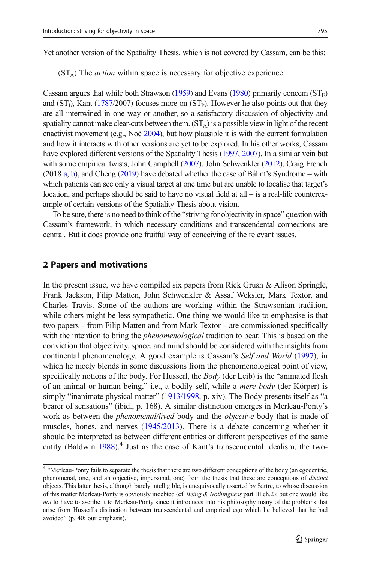Yet another version of the Spatiality Thesis, which is not covered by Cassam, can be this:

 $(ST_A)$  The *action* within space is necessary for objective experience.

Cassam argues that while both Strawson [\(1959\)](#page-6-0) and Evans [\(1980\)](#page-5-0) primarily concern  $(ST_F)$ and  $(ST<sub>1</sub>$ ), Kant [\(1787/](#page-6-0)2007) focuses more on  $(ST<sub>P</sub>$ ). However he also points out that they are all intertwined in one way or another, so a satisfactory discussion of objectivity and spatiality cannot make clear-cuts between them.  $(ST_A)$  is a possible view in light of the recent enactivist movement (e.g., Noë [2004](#page-6-0)), but how plausible it is with the current formulation and how it interacts with other versions are yet to be explored. In his other works, Cassam have explored different versions of the Spatiality Thesis [\(1997](#page-5-0), [2007\)](#page-5-0). In a similar vein but with some empirical twists, John Campbell [\(2007\)](#page-5-0), John Schwenkler [\(2012\)](#page-6-0), Craig French  $(2018$  [a](#page-5-0), [b\)](#page-5-0), and Cheng  $(2019)$  $(2019)$  $(2019)$  have debated whether the case of Bálint's Syndrome – with which patients can see only a visual target at one time but are unable to localise that target's location, and perhaps should be said to have no visual field at all – is a real-life counterexample of certain versions of the Spatiality Thesis about vision.

To be sure, there is no need to think of the "striving for objectivity in space" question with Cassam's framework, in which necessary conditions and transcendental connections are central. But it does provide one fruitful way of conceiving of the relevant issues.

#### 2 Papers and motivations

In the present issue, we have compiled six papers from Rick Grush & Alison Springle, Frank Jackson, Filip Matten, John Schwenkler & Assaf Weksler, Mark Textor, and Charles Travis. Some of the authors are working within the Strawsonian tradition, while others might be less sympathetic. One thing we would like to emphasise is that two papers – from Filip Matten and from Mark Textor – are commissioned specifically with the intention to bring the *phenomenological* tradition to bear. This is based on the conviction that objectivity, space, and mind should be considered with the insights from continental phenomenology. A good example is Cassam's Self and World [\(1997\)](#page-5-0), in which he nicely blends in some discussions from the phenomenological point of view, specifically notions of the body. For Husserl, the Body (der Leib) is the "animated flesh of an animal or human being," i.e., a bodily self, while a mere body (der Körper) is simply "inanimate physical matter" [\(1913/1998](#page-6-0), p. xiv). The Body presents itself as "a bearer of sensations" (ibid., p. 168). A similar distinction emerges in Merleau-Ponty's work as between the *phenomenal/lived* body and the *objective* body that is made of muscles, bones, and nerves ([1945/2013\)](#page-6-0). There is a debate concerning whether it should be interpreted as between different entities or different perspectives of the same entity (Baldwin  $1988$ ).<sup>4</sup> Just as the case of Kant's transcendental idealism, the two-

<sup>&</sup>lt;sup>4</sup> "Merleau-Ponty fails to separate the thesis that there are two different conceptions of the body (an egocentric, phenomenal, one, and an objective, impersonal, one) from the thesis that these are conceptions of *distinct* objects. This latter thesis, although barely intelligible, is unequivocally asserted by Sartre, to whose discussion of this matter Merleau-Ponty is obviously indebted (cf. Being & Nothingness part III ch.2); but one would like not to have to ascribe it to Merleau-Ponty since it introduces into his philosophy many of the problems that arise from Husserl's distinction between transcendental and empirical ego which he believed that he had avoided" (p. 40; our emphasis).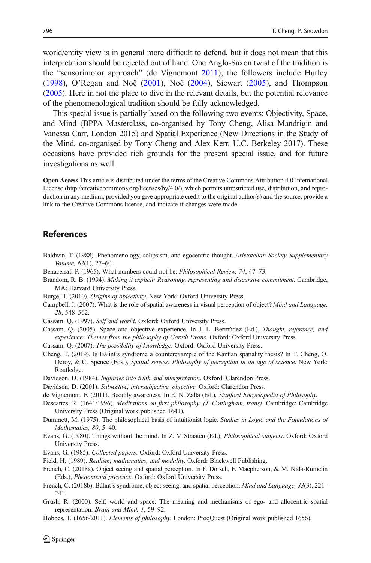<span id="page-5-0"></span>world/entity view is in general more difficult to defend, but it does not mean that this interpretation should be rejected out of hand. One Anglo-Saxon twist of the tradition is the "sensorimotor approach" (de Vignemont 2011); the followers include Hurley [\(1998\)](#page-6-0), O'Regan and Noë [\(2001](#page-6-0)), Noë ([2004](#page-6-0)), Siewart [\(2005](#page-6-0)), and Thompson [\(2005\)](#page-6-0). Here in not the place to dive in the relevant details, but the potential relevance of the phenomenological tradition should be fully acknowledged.

This special issue is partially based on the following two events: Objectivity, Space, and Mind (BPPA Masterclass, co-organised by Tony Cheng, Alisa Mandrigin and Vanessa Carr, London 2015) and Spatial Experience (New Directions in the Study of the Mind, co-organised by Tony Cheng and Alex Kerr, U.C. Berkeley 2017). These occasions have provided rich grounds for the present special issue, and for future investigations as well.

Open Access This article is distributed under the terms of the Creative Commons Attribution 4.0 International License (http://creativecommons.org/licenses/by/4.0/), which permits unrestricted use, distribution, and reproduction in any medium, provided you give appropriate credit to the original author(s) and the source, provide a link to the Creative Commons license, and indicate if changes were made.

### References

- Baldwin, T. (1988). Phenomenology, solipsism, and egocentric thought. Aristotelian Society Supplementary Volume, 62(1), 27–60.
- Benacerraf, P. (1965). What numbers could not be. Philosophical Review, 74, 47–73.
- Brandom, R. B. (1994). Making it explicit: Reasoning, representing and discursive commitment. Cambridge, MA: Harvard University Press.
- Burge, T. (2010). Origins of objectivity. New York: Oxford University Press.
- Campbell, J. (2007). What is the role of spatial awareness in visual perception of object? Mind and Language, 28, 548–562.
- Cassam, Q. (1997). Self and world. Oxford: Oxford University Press.
- Cassam, Q. (2005). Space and objective experience. In J. L. Bermúdez (Ed.), Thought, reference, and experience: Themes from the philosophy of Gareth Evans. Oxford: Oxford University Press.
- Cassam, Q. (2007). The possibility of knowledge. Oxford: Oxford University Press.
- Cheng, T. (2019). Is Bálint's syndrome a counterexample of the Kantian spatiality thesis? In T. Cheng, O. Deroy, & C. Spence (Eds.), Spatial senses: Philosophy of perception in an age of science. New York: Routledge.
- Davidson, D. (1984). Inquiries into truth and interpretation. Oxford: Clarendon Press.
- Davidson, D. (2001). Subjective, intersubjective, objective. Oxford: Clarendon Press.
- de Vignemont, F. (2011). Beodily awareness. In E. N. Zalta (Ed.), Stanford Encyclopedia of Philosophy.
- Descartes, R. (1641/1996). Meditations on first philosophy. (J. Cottingham, trans). Cambridge: Cambridge University Press (Original work published 1641).
- Dummett, M. (1975). The philosophical basis of intuitionist logic. Studies in Logic and the Foundations of Mathematics, 80, 5–40.
- Evans, G. (1980). Things without the mind. In Z. V. Straaten (Ed.), Philosophical subjects. Oxford: Oxford University Press.
- Evans, G. (1985). Collected papers. Oxford: Oxford University Press.
- Field, H. (1989). Realism, mathematics, and modality. Oxford: Blackwell Publishing.
- French, C. (2018a). Object seeing and spatial perception. In F. Dorsch, F. Macpherson, & M. Nida-Rumelin (Eds.), Phenomenal presence. Oxford: Oxford University Press.
- French, C. (2018b). Bálint's syndrome, object seeing, and spatial perception. *Mind and Language*, 33(3), 221– 241.
- Grush, R. (2000). Self, world and space: The meaning and mechanisms of ego- and allocentric spatial representation. Brain and Mind, 1, 59–92.
- Hobbes, T. (1656/2011). Elements of philosophy. London: ProqQuest (Original work published 1656).